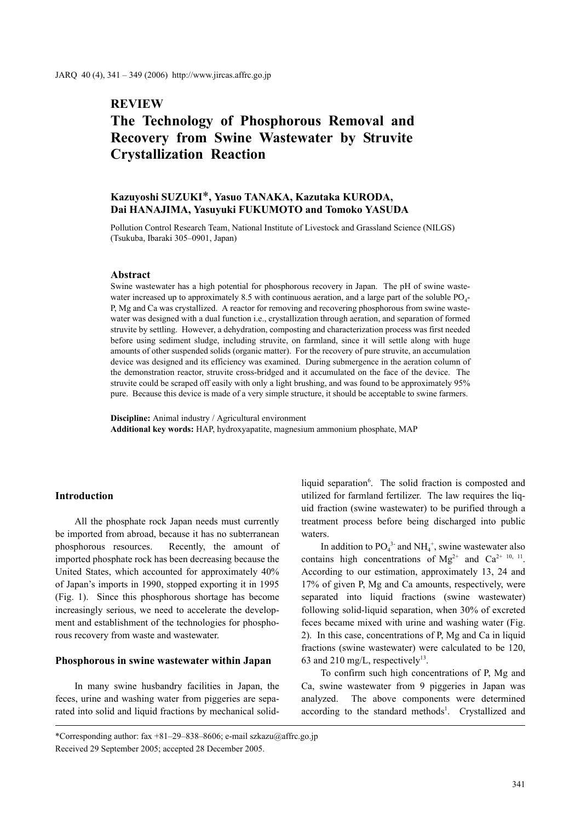# **REVIEW**

# **The Technology of Phosphorous Removal and Recovery from Swine Wastewater by Struvite Crystallization Reaction**

# **Kazuyoshi SUZUKI**\***, Yasuo TANAKA, Kazutaka KURODA, Dai HANAJIMA, Yasuyuki FUKUMOTO and Tomoko YASUDA**

Pollution Control Research Team, National Institute of Livestock and Grassland Science (NILGS) (Tsukuba, Ibaraki 305–0901, Japan)

# **Abstract**

Swine wastewater has a high potential for phosphorous recovery in Japan. The pH of swine wastewater increased up to approximately 8.5 with continuous aeration, and a large part of the soluble  $PQ_4$ -P, Mg and Ca was crystallized. A reactor for removing and recovering phosphorous from swine wastewater was designed with a dual function i.e., crystallization through aeration, and separation of formed struvite by settling. However, a dehydration, composting and characterization process was first needed before using sediment sludge, including struvite, on farmland, since it will settle along with huge amounts of other suspended solids (organic matter). For the recovery of pure struvite, an accumulation device was designed and its efficiency was examined. During submergence in the aeration column of the demonstration reactor, struvite cross-bridged and it accumulated on the face of the device. The struvite could be scraped off easily with only a light brushing, and was found to be approximately 95% pure. Because this device is made of a very simple structure, it should be acceptable to swine farmers.

**Discipline:** Animal industry / Agricultural environment **Additional key words:** HAP, hydroxyapatite, magnesium ammonium phosphate, MAP

# **Introduction**

All the phosphate rock Japan needs must currently be imported from abroad, because it has no subterranean phosphorous resources. Recently, the amount of imported phosphate rock has been decreasing because the United States, which accounted for approximately 40% of Japan's imports in 1990, stopped exporting it in 1995 (Fig. 1). Since this phosphorous shortage has become increasingly serious, we need to accelerate the development and establishment of the technologies for phosphorous recovery from waste and wastewater.

# **Phosphorous in swine wastewater within Japan**

In many swine husbandry facilities in Japan, the feces, urine and washing water from piggeries are separated into solid and liquid fractions by mechanical solid-

liquid separation<sup>6</sup>. The solid fraction is composted and utilized for farmland fertilizer. The law requires the liquid fraction (swine wastewater) to be purified through a treatment process before being discharged into public waters.

In addition to  $PO_4^3$  and  $NH_4^+$ , swine wastewater also contains high concentrations of  $Mg^{2+}$  and  $Ca^{2+}$  10, 11. According to our estimation, approximately 13, 24 and 17% of given P, Mg and Ca amounts, respectively, were separated into liquid fractions (swine wastewater) following solid-liquid separation, when 30% of excreted feces became mixed with urine and washing water (Fig. 2). In this case, concentrations of P, Mg and Ca in liquid fractions (swine wastewater) were calculated to be 120, 63 and 210 mg/L, respectively<sup>13</sup>.

To confirm such high concentrations of P, Mg and Ca, swine wastewater from 9 piggeries in Japan was analyzed. The above components were determined according to the standard methods<sup>1</sup>. Crystallized and

\*Corresponding author: fax +81–29–838–8606; e-mail szkazu@affrc.go.jp Received 29 September 2005; accepted 28 December 2005.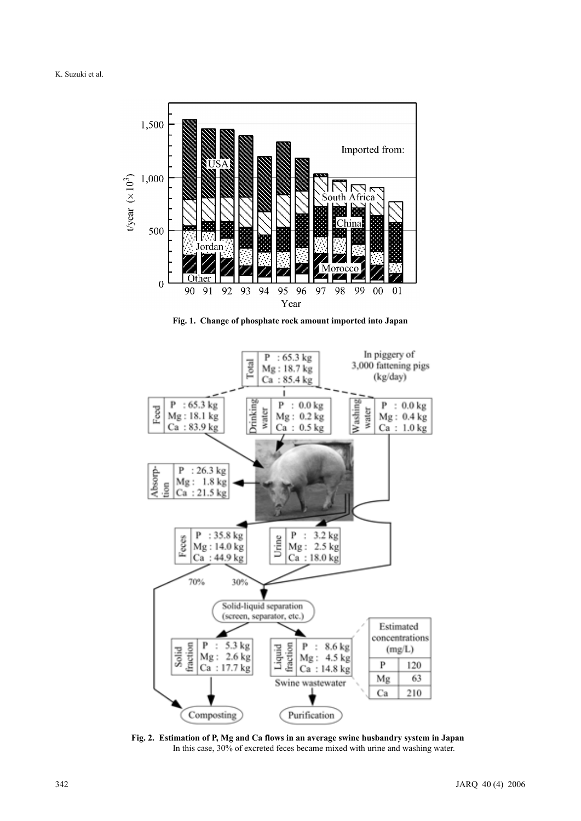

**Fig. 1. Change of phosphate rock amount imported into Japan**



**Fig. 2. Estimation of P, Mg and Ca flows in an average swine husbandry system in Japan** In this case, 30% of excreted feces became mixed with urine and washing water.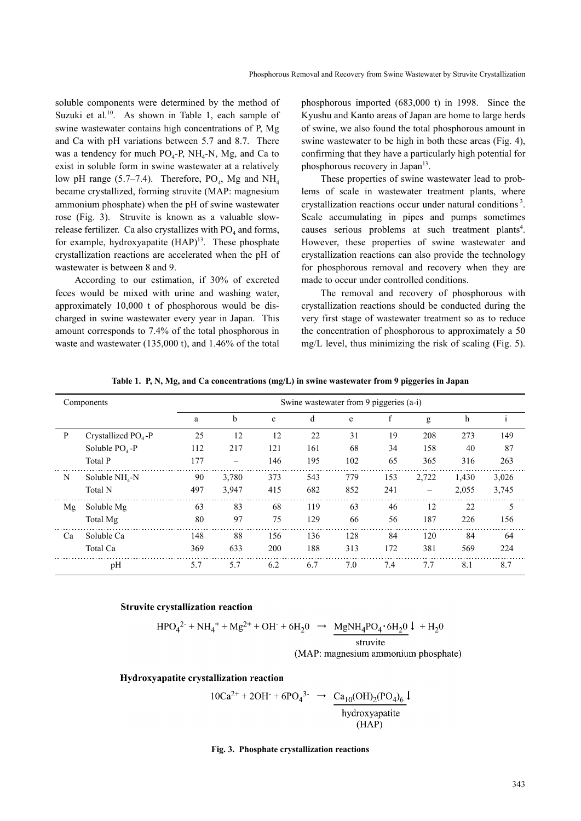soluble components were determined by the method of Suzuki et al.<sup>10</sup>. As shown in Table 1, each sample of swine wastewater contains high concentrations of P, Mg and Ca with pH variations between 5.7 and 8.7. There was a tendency for much  $PO_4$ -P, NH<sub>4</sub>-N, Mg, and Ca to exist in soluble form in swine wastewater at a relatively low pH range (5.7–7.4). Therefore,  $PO<sub>4</sub>$ , Mg and NH<sub>4</sub> became crystallized, forming struvite (MAP: magnesium ammonium phosphate) when the pH of swine wastewater rose (Fig. 3). Struvite is known as a valuable slowrelease fertilizer. Ca also crystallizes with  $PO<sub>4</sub>$  and forms, for example, hydroxyapatite  $(HAP)^{13}$ . These phosphate crystallization reactions are accelerated when the pH of wastewater is between 8 and 9.

According to our estimation, if 30% of excreted feces would be mixed with urine and washing water, approximately 10,000 t of phosphorous would be discharged in swine wastewater every year in Japan. This amount corresponds to 7.4% of the total phosphorous in waste and wastewater (135,000 t), and 1.46% of the total phosphorous imported (683,000 t) in 1998. Since the Kyushu and Kanto areas of Japan are home to large herds of swine, we also found the total phosphorous amount in swine wastewater to be high in both these areas (Fig. 4), confirming that they have a particularly high potential for phosphorous recovery in Japan<sup>13</sup>.

These properties of swine wastewater lead to problems of scale in wastewater treatment plants, where crystallization reactions occur under natural conditions 3. Scale accumulating in pipes and pumps sometimes causes serious problems at such treatment plants<sup>4</sup>. However, these properties of swine wastewater and crystallization reactions can also provide the technology for phosphorous removal and recovery when they are made to occur under controlled conditions.

The removal and recovery of phosphorous with crystallization reactions should be conducted during the very first stage of wastewater treatment so as to reduce the concentration of phosphorous to approximately a 50 mg/L level, thus minimizing the risk of scaling (Fig. 5).

| Components |                        | Swine wastewater from 9 piggeries (a-i) |                          |              |     |     |     |       |       |              |  |
|------------|------------------------|-----------------------------------------|--------------------------|--------------|-----|-----|-----|-------|-------|--------------|--|
|            |                        | a                                       | b                        | $\mathbf{c}$ | d   | e   | f   | g     | h     | $\mathbf{1}$ |  |
| P          | Crystallized $PO4 - P$ | 25                                      | 12                       | 12           | 22  | 31  | 19  | 208   | 273   | 149          |  |
|            | Soluble $PO4 - P$      | 112                                     | 217                      | 121          | 161 | 68  | 34  | 158   | 40    | 87           |  |
|            | Total P                | 177                                     | $\overline{\phantom{0}}$ | 146          | 195 | 102 | 65  | 365   | 316   | 263          |  |
| N          | Soluble $NH_{4}$ -N    | 90                                      | 3,780                    | 373          | 543 | 779 | 153 | 2,722 | 1,430 | 3,026        |  |
|            | Total N                | 497                                     | 3.947                    | 415          | 682 | 852 | 241 | -     | 2,055 | 3,745        |  |
| Mg         | Soluble Mg             | 63                                      | 83                       | 68           | 119 | 63  | 46  | 12    | 22    | 5            |  |
|            | Total Mg               | 80                                      | 97                       | 75           | 129 | 66  | 56  | 187   | 226   | 156          |  |
| Ca         | Soluble Ca             | 148                                     | 88                       | 156          | 136 | 128 | 84  | 120   | 84    | 64           |  |
|            | Total Ca               | 369                                     | 633                      | 200          | 188 | 313 | 172 | 381   | 569   | 224          |  |
|            | pH                     | 5.7                                     | 5.7                      | 6.2          | 6.7 | 7.0 | 7.4 | 7.7   | 8.1   | 8.7          |  |

**Table 1. P, N, Mg, and Ca concentrations (mg/L) in swine wastewater from 9 piggeries in Japan**

#### **Struvite crystallization reaction**

$$
HPO42- + NH4+ + Mg2+ + OH- + 6H20 \rightarrow \frac{MgNH4PO4+ + H20}{\text{struvite}}
$$
  
(MAP: magnesium ammonium phosphate)

#### Hydroxyapatite crystallization reaction

 $10Ca^{2+} + 2OH^- + 6PO_4^{3-} \rightarrow \frac{Ca_{10}(OH)_2(PO_4)_6}{100}$ hydroxyapatite  $(HAP)$ 

#### **Fig. 3. Phosphate crystallization reactions**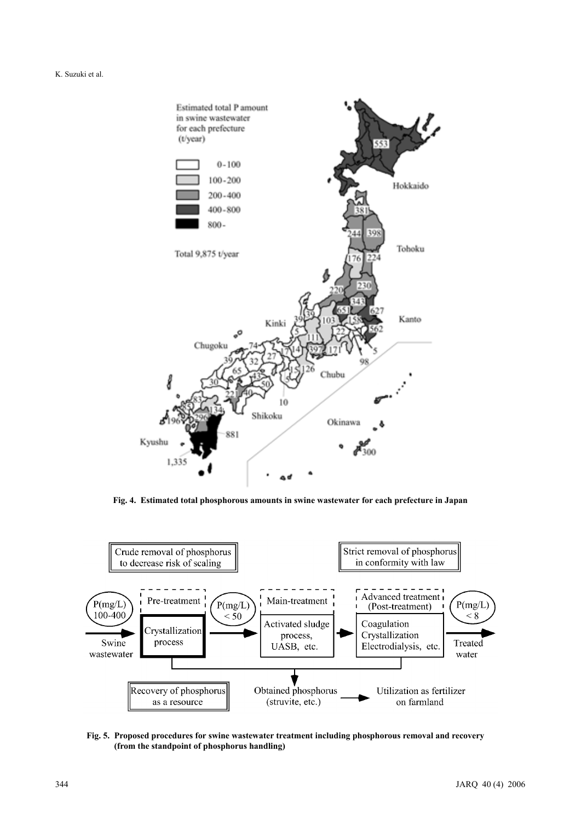

**Fig. 4. Estimated total phosphorous amounts in swine wastewater for each prefecture in Japan**



**Fig. 5. Proposed procedures for swine wastewater treatment including phosphorous removal and recovery (from the standpoint of phosphorus handling)**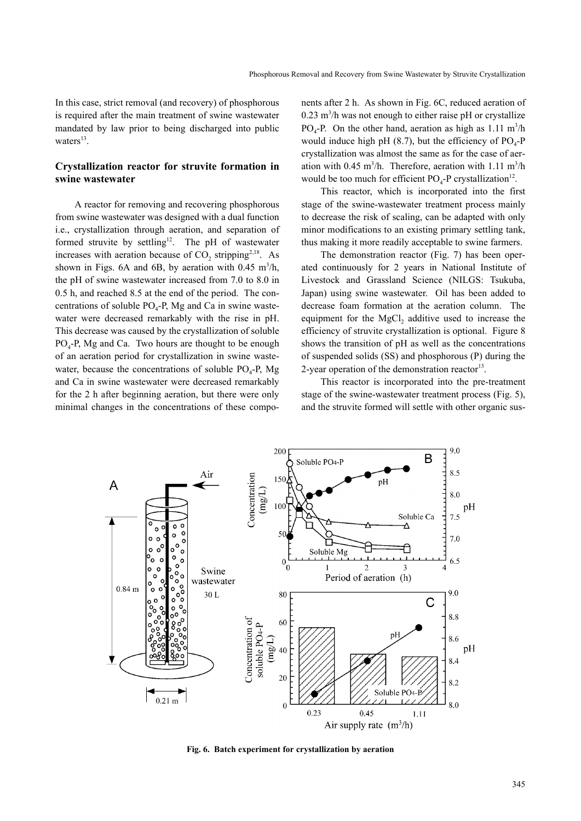In this case, strict removal (and recovery) of phosphorous is required after the main treatment of swine wastewater mandated by law prior to being discharged into public waters $^{13}$ .

# **Crystallization reactor for struvite formation in swine wastewater**

A reactor for removing and recovering phosphorous from swine wastewater was designed with a dual function i.e., crystallization through aeration, and separation of formed struvite by settling<sup>12</sup>. The pH of wastewater increases with aeration because of  $CO<sub>2</sub>$ , stripping<sup>2,18</sup>. As shown in Figs.  $6A$  and  $6B$ , by aeration with  $0.45 \text{ m}^3/\text{h}$ , the pH of swine wastewater increased from 7.0 to 8.0 in 0.5 h, and reached 8.5 at the end of the period. The concentrations of soluble  $PO_4$ -P, Mg and Ca in swine wastewater were decreased remarkably with the rise in pH. This decrease was caused by the crystallization of soluble  $PO<sub>4</sub>-P$ , Mg and Ca. Two hours are thought to be enough of an aeration period for crystallization in swine wastewater, because the concentrations of soluble  $PO_4$ -P, Mg and Ca in swine wastewater were decreased remarkably for the 2 h after beginning aeration, but there were only minimal changes in the concentrations of these components after 2 h. As shown in Fig. 6C, reduced aeration of  $0.23$  m<sup>3</sup>/h was not enough to either raise pH or crystallize  $PO_4$ -P. On the other hand, aeration as high as 1.11 m<sup>3</sup>/h would induce high pH  $(8.7)$ , but the efficiency of PO<sub>4</sub>-P crystallization was almost the same as for the case of aeration with  $0.45 \text{ m}^3/\text{h}$ . Therefore, aeration with 1.11 m<sup>3</sup>/h would be too much for efficient  $PO<sub>4</sub>-P$  crystallization<sup>12</sup>.

This reactor, which is incorporated into the first stage of the swine-wastewater treatment process mainly to decrease the risk of scaling, can be adapted with only minor modifications to an existing primary settling tank, thus making it more readily acceptable to swine farmers.

The demonstration reactor (Fig. 7) has been operated continuously for 2 years in National Institute of Livestock and Grassland Science (NILGS: Tsukuba, Japan) using swine wastewater. Oil has been added to decrease foam formation at the aeration column. The equipment for the MgCl<sub>2</sub> additive used to increase the efficiency of struvite crystallization is optional. Figure 8 shows the transition of pH as well as the concentrations of suspended solids (SS) and phosphorous (P) during the 2-year operation of the demonstration reactor $^{13}$ .

This reactor is incorporated into the pre-treatment stage of the swine-wastewater treatment process (Fig. 5), and the struvite formed will settle with other organic sus-



**Fig. 6. Batch experiment for crystallization by aeration**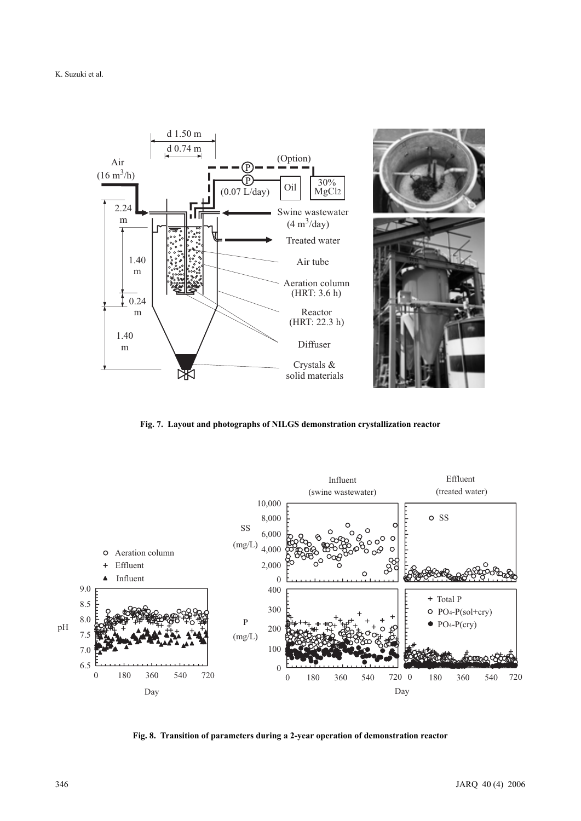

**Fig. 7. Layout and photographs of NILGS demonstration crystallization reactor**



**Fig. 8. Transition of parameters during a 2-year operation of demonstration reactor**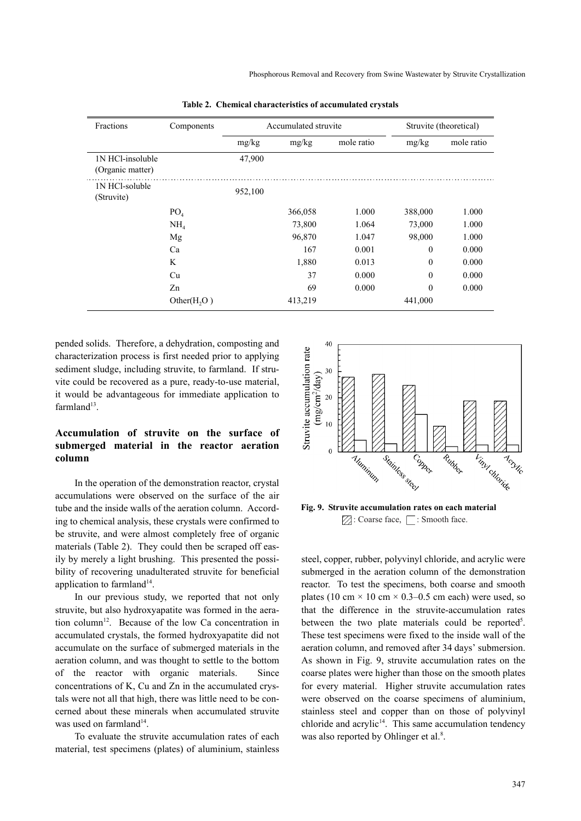| Fractions                            | Components      |         | Accumulated struvite | Struvite (theoretical) |                  |            |
|--------------------------------------|-----------------|---------|----------------------|------------------------|------------------|------------|
|                                      |                 | mg/kg   | mg/kg                | mole ratio             | mg/kg            | mole ratio |
| 1N HCl-insoluble<br>(Organic matter) |                 | 47,900  |                      |                        |                  |            |
| 1N HCl-soluble<br>(Struvite)         |                 | 952,100 |                      |                        |                  |            |
|                                      | PO <sub>4</sub> |         | 366,058              | 1.000                  | 388,000          | 1.000      |
|                                      | NH <sub>4</sub> |         | 73,800               | 1.064                  | 73,000           | 1.000      |
|                                      | Mg              |         | 96,870               | 1.047                  | 98,000           | 1.000      |
|                                      | Ca              |         | 167                  | 0.001                  | $\boldsymbol{0}$ | 0.000      |
|                                      | K               |         | 1,880                | 0.013                  | $\theta$         | 0.000      |
|                                      | Cu              |         | 37                   | 0.000                  | $\boldsymbol{0}$ | 0.000      |
|                                      | Zn              |         | 69                   | 0.000                  | $\theta$         | 0.000      |
|                                      | Other $(H, O)$  |         | 413,219              |                        | 441,000          |            |

**Table 2. Chemical characteristics of accumulated crystals**

pended solids. Therefore, a dehydration, composting and characterization process is first needed prior to applying sediment sludge, including struvite, to farmland. If struvite could be recovered as a pure, ready-to-use material, it would be advantageous for immediate application to farmland $13$ .

# **Accumulation of struvite on the surface of submerged material in the reactor aeration column**

In the operation of the demonstration reactor, crystal accumulations were observed on the surface of the air tube and the inside walls of the aeration column. According to chemical analysis, these crystals were confirmed to be struvite, and were almost completely free of organic materials (Table 2). They could then be scraped off easily by merely a light brushing. This presented the possibility of recovering unadulterated struvite for beneficial application to farmland $14$ .

In our previous study, we reported that not only struvite, but also hydroxyapatite was formed in the aeration column<sup>12</sup>. Because of the low Ca concentration in accumulated crystals, the formed hydroxyapatite did not accumulate on the surface of submerged materials in the aeration column, and was thought to settle to the bottom of the reactor with organic materials. Since concentrations of K, Cu and Zn in the accumulated crystals were not all that high, there was little need to be concerned about these minerals when accumulated struvite was used on farmland<sup>14</sup>.

To evaluate the struvite accumulation rates of each material, test specimens (plates) of aluminium, stainless



**Fig. 9. Struvite accumulation rates on each material**  $\boxtimes$ : Coarse face,  $\Box$ : Smooth face.

steel, copper, rubber, polyvinyl chloride, and acrylic were submerged in the aeration column of the demonstration reactor. To test the specimens, both coarse and smooth plates (10 cm  $\times$  10 cm  $\times$  0.3–0.5 cm each) were used, so that the difference in the struvite-accumulation rates between the two plate materials could be reported<sup>5</sup>. These test specimens were fixed to the inside wall of the aeration column, and removed after 34 days' submersion. As shown in Fig. 9, struvite accumulation rates on the coarse plates were higher than those on the smooth plates for every material. Higher struvite accumulation rates were observed on the coarse specimens of aluminium, stainless steel and copper than on those of polyvinyl chloride and acrylic<sup>14</sup>. This same accumulation tendency was also reported by Ohlinger et al.<sup>8</sup>.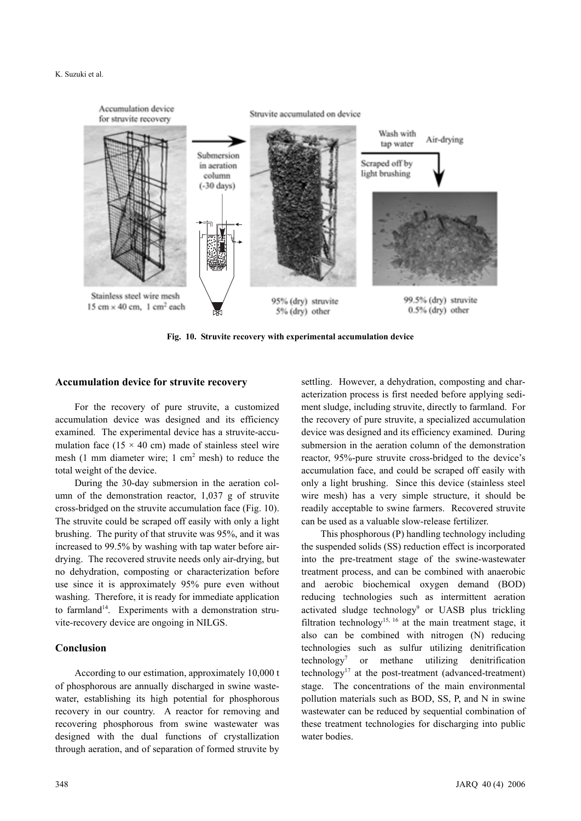

**Fig. 10. Struvite recovery with experimental accumulation device**

### **Accumulation device for struvite recovery**

For the recovery of pure struvite, a customized accumulation device was designed and its efficiency examined. The experimental device has a struvite-accumulation face (15  $\times$  40 cm) made of stainless steel wire mesh  $(1 \text{ mm diameter wire}; 1 \text{ cm}^2 \text{ mesh})$  to reduce the total weight of the device.

During the 30-day submersion in the aeration column of the demonstration reactor, 1,037 g of struvite cross-bridged on the struvite accumulation face (Fig. 10). The struvite could be scraped off easily with only a light brushing. The purity of that struvite was 95%, and it was increased to 99.5% by washing with tap water before airdrying. The recovered struvite needs only air-drying, but no dehydration, composting or characterization before use since it is approximately 95% pure even without washing. Therefore, it is ready for immediate application to farmland<sup>14</sup>. Experiments with a demonstration struvite-recovery device are ongoing in NILGS.

# **Conclusion**

According to our estimation, approximately 10,000 t of phosphorous are annually discharged in swine wastewater, establishing its high potential for phosphorous recovery in our country. A reactor for removing and recovering phosphorous from swine wastewater was designed with the dual functions of crystallization through aeration, and of separation of formed struvite by

settling. However, a dehydration, composting and characterization process is first needed before applying sediment sludge, including struvite, directly to farmland. For the recovery of pure struvite, a specialized accumulation device was designed and its efficiency examined. During submersion in the aeration column of the demonstration reactor, 95%-pure struvite cross-bridged to the device's accumulation face, and could be scraped off easily with only a light brushing. Since this device (stainless steel wire mesh) has a very simple structure, it should be readily acceptable to swine farmers. Recovered struvite can be used as a valuable slow-release fertilizer.

This phosphorous (P) handling technology including the suspended solids (SS) reduction effect is incorporated into the pre-treatment stage of the swine-wastewater treatment process, and can be combined with anaerobic and aerobic biochemical oxygen demand (BOD) reducing technologies such as intermittent aeration activated sludge technology<sup>9</sup> or UASB plus trickling filtration technology<sup>15, 16</sup> at the main treatment stage, it also can be combined with nitrogen (N) reducing technologies such as sulfur utilizing denitrification technology<sup>7</sup> or methane utilizing denitrification technology<sup>17</sup> at the post-treatment (advanced-treatment) stage. The concentrations of the main environmental pollution materials such as BOD, SS, P, and N in swine wastewater can be reduced by sequential combination of these treatment technologies for discharging into public water bodies.